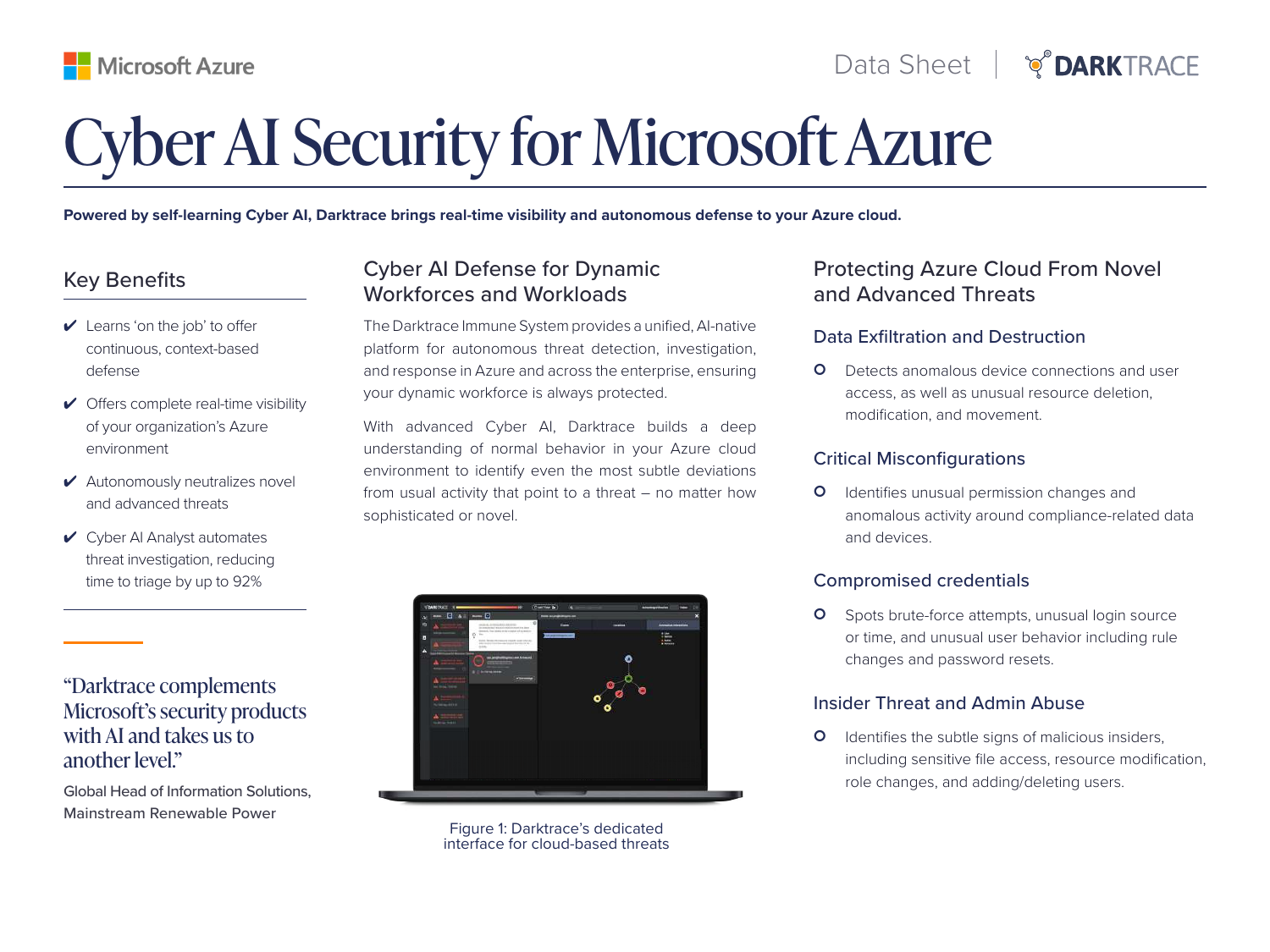# Cyber AI Security for Microsoft Azure

**Powered by self-learning Cyber AI, Darktrace brings real-time visibility and autonomous defense to your Azure cloud.**

## Key Benefits

- $\vee$  Learns 'on the job' to offer continuous, context-based defense
- $\checkmark$  Offers complete real-time visibility of your organization's Azure environment
- ✔ Autonomously neutralizes novel and advanced threats
- $\vee$  Cyber AI Analyst automates threat investigation, reducing time to triage by up to 92%

"Darktrace complements Microsoft's security products with AI and takes us to another level."

Global Head of Information Solutions, Mainstream Renewable Power

## Cyber AI Defense for Dynamic Workforces and Workloads

The Darktrace Immune System provides a unified, AI-native platform for autonomous threat detection, investigation, and response in Azure and across the enterprise, ensuring your dynamic workforce is always protected.

With advanced Cyber AI, Darktrace builds a deep understanding of normal behavior in your Azure cloud environment to identify even the most subtle deviations from usual activity that point to a threat – no matter how sophisticated or novel.



Figure 1: Darktrace's dedicated interface for cloud-based threats

## Protecting Azure Cloud From Novel and Advanced Threats

### Data Exfiltration and Destruction

**O** Detects anomalous device connections and user access, as well as unusual resource deletion, modification, and movement.

#### Critical Misconfigurations

**O** Identifies unusual permission changes and anomalous activity around compliance-related data and devices.

### Compromised credentials

**O** Spots brute-force attempts, unusual login source or time, and unusual user behavior including rule changes and password resets.

### Insider Threat and Admin Abuse

**O** Identifies the subtle signs of malicious insiders, including sensitive file access, resource modification, role changes, and adding/deleting users.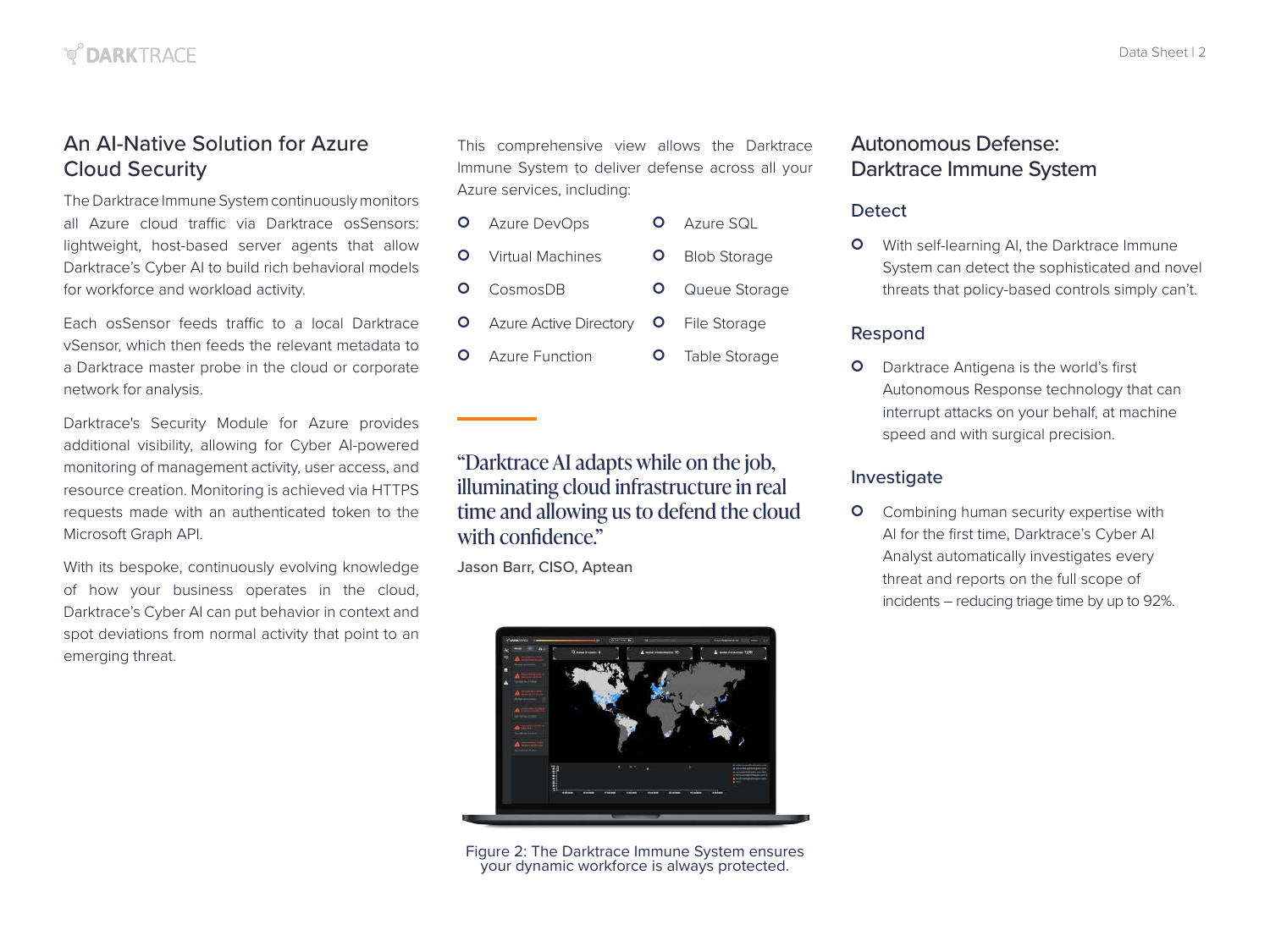## An AI-Native Solution for Azure Cloud Security

The Darktrace Immune System continuously monitors all Azure cloud traffic via Darktrace osSensors: lightweight, host-based server agents that allow Darktrace's Cyber AI to build rich behavioral models for workforce and workload activity.

Each osSensor feeds traffic to a local Darktrace vSensor, which then feeds the relevant metadata to a Darktrace master probe in the cloud or corporate network for analysis.

Darktrace's Security Module for Azure provides additional visibility, allowing for Cyber AI-powered monitoring of management activity, user access, and resource creation. Monitoring is achieved via HTTPS requests made with an authenticated token to the Microsoft Graph API.

With its bespoke, continuously evolving knowledge of how your business operates in the cloud, Darktrace's Cyber AI can put behavior in context and spot deviations from normal activity that point to an emerging threat.

This comprehensive view allows the Darktrace Immune System to deliver defense across all your Azure services, including:

- **O** Azure DevOps **O** Virtual Machines **O** Azure SQL **O** Blob Storage
- **O** CosmosDB **O** Queue Storage
- **O** Azure Active Directory **O** File Storage
- **O** Azure Function **O** Table Storage

## "Darktrace AI adapts while on the job, illuminating cloud infrastructure in real time and allowing us to defend the cloud with confidence."

Jason Barr, CISO, Aptean



Figure 2: The Darktrace Immune System ensures your dynamic workforce is always protected.

## Autonomous Defense: Darktrace Immune System

#### **Detect**

**O** With self-learning AI, the Darktrace Immune System can detect the sophisticated and novel threats that policy-based controls simply can't.

#### Respond

**O** Darktrace Antigena is the world's first Autonomous Response technology that can interrupt attacks on your behalf, at machine speed and with surgical precision.

#### Investigate

**O** Combining human security expertise with AI for the first time, Darktrace's Cyber AI Analyst automatically investigates every threat and reports on the full scope of incidents – reducing triage time by up to 92%.